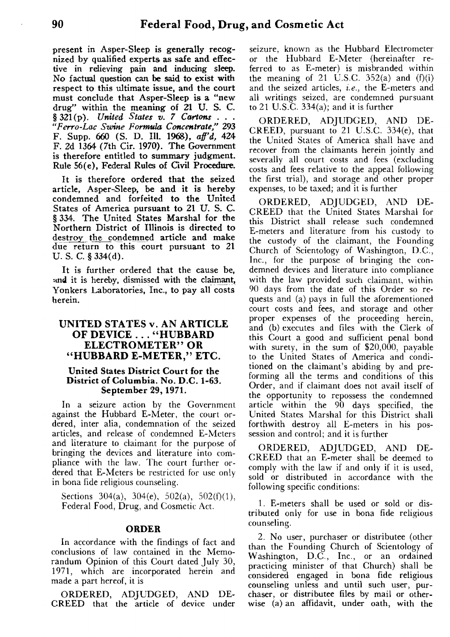**present in Asper-Sleep is generally recognized by qualified experts as safe and effective in relieving pain and inducing sleep. No factual question can be said to exist with respect to this ultimate issue, and the court must conclude that Asper-Sleep is a "new drug" within the meaning of 21 U. S. C.**  $\S 321(p)$ . *United States v. 7 Cartons "Ferro-Lac Swine Formula Concentrate,"* **293 F. Supp. 660 (S. D. Ill. 1968),** *aff'd,* **424 F. 2d 1364 (7th Cir. 1970). The Government is therefore entitled to summary judgment. Rule 56(e), Federal Rules of Civil Procedure.**

**It is therefore ordered that the seized article, Asper-Sleep, be and it is hereby condemned and forfeited to the United States of America pursuant to 21 U. S. C. § 334. The United States Marshal for the Northern District of Illinois is directed to destroy the condemned article and make due return to this court pursuant to** *<sup>21</sup>* **U. S. C. § 334(d).**

**It is further ordered that the cause be, and it is hereby, dismissed with the claimant, Yonkers Laboratories, Inc., to pay all costs herein.**

## **UNITED STATES v. AN ARTICLE OF DEVICE ... "HUBBARD ELECTROMETER" OR "HUBBARD E-METER," ETC.**

### **United States District Court for the District of Columbia. No. D.C. 1-63. September 29, 1971.**

**In** a seizure action by the Government against the Hubbard E-Meter, the court ordered, inter alia, condemnation of the seized articles, and release of condemned E-Meters and literature to claimant for the purpose of bringing the devices and literature into compliance with the law. The court further ordered that E-Meters be restricted for use only in bona fide religious counseling.

Sections 304(a), 304(e), 502(a), 502(f)(1), Federal Food, Drug, and Cosmetic Act.

### **ORDER**

In accordance with the findings of fact and conclusions of law contained in the Memorandum Opinion of this Court dated July 30, 1971, which are incorporated herein and made a part hereof, it is

ORDERED, ADJUDGED, AND DE-CREED that the article of device under seizure, known as the Hubbard Electrometer or the Hubbard E-Meter (hereinafter referred to as E-meter) is misbranded within the meaning of 21 U.S.C.  $352(a)$  and  $(f)(i)$ and the seized articles, *i.e.,* the E-meters and all writings seized, are condemned pursuant to 21 U.S.C.  $334(a)$ ; and it is further

ORDERED, ADJUDGED, AND DE-CREED, pursuant to 21 U.S.C. 334(e), that the United States of America shall have and recover from the claimants herein jointly and severally all court costs and fees (excluding costs and fees relative to the appeal following the first trial), and storage and other proper expenses, to be taxed; and it is further

ORDERED, ADJUDGED, AND DE-CREED that the United States Marshal for this District shall release such condemned E-meters and literature from his custody to the custody of the claimant, the Founding Church of Scientology of Washington, D.C., Inc., for the purpose of bringing the condemned devices and literature into compliance with the law provided such claimant, within 90 days from the date of this Order so requests and (a) pays in full the aforementioned court costs and fees, and storage and other proper expenses of the proceeding herein, and (b) executes and files with the Clerk of this Court a good and sufficient penal bond with surety, in the sum of \$20,000, payable to the United States of America and conditioned on the claimant's abiding by and preforming all the terms and conditions of this Order, and if claimant does not avail itself of the opportunity to repossess the condemned article within the 90 days specified, the United States Marshal for this District shall forthwith destroy all E-meters in his possession and control; and it is further

ORDERED, ADJUDGED, AND DE-CREED that an E-meter shall be deemed to comply with the law if and only if it is used, sold or distributed in accordance with the following specific conditions:

1. E-meters shall be used or sold or distributed only for use in bona fide religious counseling.

2. No user, purchaser or distributee (other than the Founding Church of Scientology of Washington, D.C., Inc., or an ordained practicing minister of that Church) shall be considered engaged in bona fide religious counseling unless and until such user, purchaser, or distributee files by mail or otherwise (a) an affidavit, under oath, with the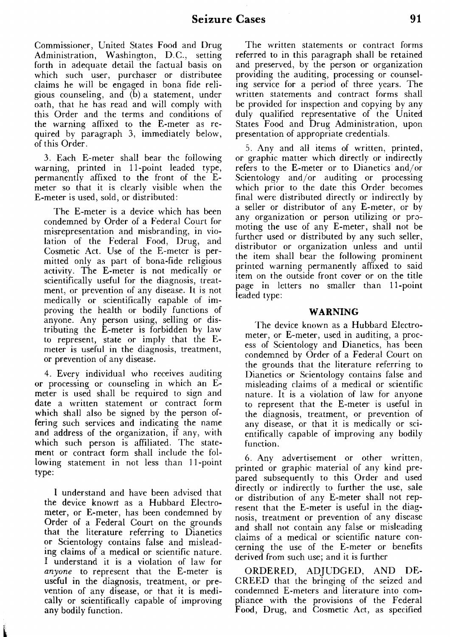Commissioner, United States Food and Drug Administration, Washington, D.C., setting forth in adequate detail the factual basis on which such user, purchaser or distributee claims he will be engaged in bona fide religious counseling, and (b) a statement, under oath, that he has read and will comply with this Order and the terms and conditions of the warning affixed to the E-meter as required by paragraph 3, immediately below, of this Order.

3. Each E-meter shall bear the following warning, printed in 11-point leaded type, permanently affixed to the front of the Emeter so that it is clearly visible when the E-meter is used, sold, or distributed:

The E-meter is a device which has been condemned by Order of a Federal Court for misrepresentation and misbranding, in violation of the Federal Food, Drug, and Cosmetic Act. Use of the E-meter is permitted only as part of bona-fide religious activity. The E-meter is not medically or scientifically useful for the diagnosis, treatment, or prevention of any disease. It is not medically or scientifically capable of improving the health or bodily functions of anyone. Any person using, selling or distributing the E-meter is forbidden by law to represent, state or imply that the Emeter is useful in the diagnosis, treatment, or prevention of any disease.

4. Every individual who receives auditing or processing or counseling in which an Emeter is used shall be required to sign and date a written statement or contract form which shall also be signed by the person offering such services and indicating the name and address of the organization, if any, with which such person is affiliated. The statement or contract form shall include the following statement in not less than 11-point type:

**I** understand and have been advised that the device known as a Hubbard Electrometer, or E-meter, has been condemned by Order of a Federal Court on the grounds that the literature referring to Dianetics or Scientology contains false and misleading claims of a medical or scientific nature. I understand it is a violation of law for *anyone* to represent that the E-meter is useful in the diagnosis, treatment, or prevention of any disease, or that it is medically or scientifically capable of improving any bodily function.

The written statements or contract forms referred to in this paragraph shall be retained and preserved, by the person or organization providing the auditing, processing or counseling service for a period of three years. The written statements and contract forms shall be provided for inspection and copying by any duly qualified representative of the United States Food and Drug Administration, upon presentation of appropriate credentials.

5. Any and all items of written, printed, or graphic matter which directly or indirectly refers to the E-meter or to Dianetics and/or Scientology and/or auditing or processing which prior to the date this Order becomes final were distributed directly or indirectly by a seller or distributor of any E-meter, or by any organization or person utilizing or promoting the use of any E-meter, shall not be further used or distributed by any such seller, distributor or organization unless and until the item shall bear the following prominent printed warning permanently affixed to said item on the outside front cover or on the title page in letters no smaller than 11-point leaded type:

#### **WARNING**

The device known as a Hubbard Electrometer, or E-meter, used in auditing, a process of Scientology and Dianetics, has been condemned by Order of a Federal Court on the grounds that the literature referring to Dianetics or Scientology contains false and misleading claims of a medical or scientific nature. It is a violation of law for anyone to represent that the E-meter is useful in the diagnosis, treatment, or prevention of any disease, or that it is medically or scientifically capable of improving any bodily function.

6. Any advertisement or other written, printed or graphic material of any kind prepared subsequently to this Order and used directly or indirectly to further the use, sale or distribution of any E-meter shall not represent that the E-meter is useful in the diagnosis, treatment or prevention of any disease and shall not contain any false or misleading claims of a medical or scientific nature concerning the use of the E-meter or benefits derived from such use; and it is further

ORDERED, ADJUDGED, AND DE-CREED that the bringing of the seized and condemned E-meters and literature into compliance with the provisions of the Federal Food, Drug, and Cosmetic Act, as specified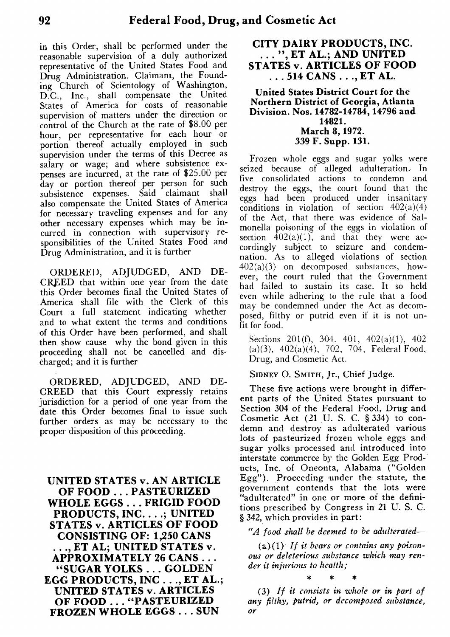in this Order, shall be performed under the reasonable supervision of a duly authorized representative of the United States Food and Drug Administration. Claimant, the Founding Church of Scientology of Washington, D.C., **Inc.,** shall compensate the United States of America for costs of reasonable supervision of matters under the direction or control of the Church at the rate of \$8.00 per hour, per representative for each hour or portion thereof actually employed in such supervision under the terms of this Decree as salary or wage; and where subsistence expenses are incurred, at the rate of \$25.00 per day or portion thereof per person for such subsistence expenses. Said claimant shall also compensate the United States of America for necessary traveling expenses and for any other necessary expenses which may be incurred in connection with supervisory responsibilities of the United States Food and Drug Administration, and it is further

ORDERED, ADJUDGED, AND DE-CREED that within one year from the date this Order becomes final the United States of America shall file with the Clerk of this Court a full statement indicating whether and to what extent the terms and conditions of this Order have been performed, and shall then show cause why the bond given in this proceeding shall not be cancelled and discharged; and it is further

ORDERED, ADJUDGED, AND DE-CREED that this Court expressly retains jurisdiction for a period of one year from the date this Order becomes final to issue such further orders as may be necessary to the proper disposition of this proceeding.

**UNITED STATES v. AN ARTICLE OF FOOD ... PASTEURIZED WHOLE EGGS . . . FRIGID FOOD PRODUCTS, INC. . . .; UNITED STATES v. ARTICLES OF FOOD CONSISTING OF: 1,250 CANS . APPROXIMATELY 26 CANS .. . . ., ET AL; UNITED STATES v. "SUGAR YOLKS . . . GOLDEN EGG PRODUCTS, INC . . ., ET AL.; UNITED STATES v. ARTICLES OF FOOD . . . "PASTEURIZED FROZEN WHOLE EGGS . . . SUN**

# **CITY DAIRY PRODUCTS, INC.** ...", ET AL.; AND UNITED **STATES** v. **ARTICLES OF FOOD . . . 514 CANS . ., ET AL.**

**United States District Court for the Northern District of Georgia, Atlanta Division. Nos. 14782-14784, 14796 and 14821. March 8, 1972. 339 F. Supp. 131.**

Frozen whole eggs and sugar yolks were seized because of alleged adulteration. In five consolidated actions to condemn and destroy the eggs, the court found that the eggs had been produced under insanitary conditions in violation of section  $402(a)(4)$ of the Act, that there was evidence of Salmonella poisoning of the eggs in violation of section  $402(a)(1)$ , and that they were accordingly subject to seizure and condemnation. As to alleged violations of section  $402(a)(3)$  on decomposed substances, however, the court ruled that the Government had failed to sustain its case. It so held even while adhering to the rule that a food may be condemned under the Act as decomposed, filthy or putrid even if it is not unfit for food.

Sections 201(f), 304, 401, 402(a)(1), 402 (a)(3), 402(a)(4), 702, 704, Federal Food, Drug, and Cosmetic Act.

**SIDNEY 0. SMITH,** Jr., Chief Judge.

These five actions were brought in different parts of the United States pursuant to Section 304 of the Federal Food, Drug and Cosmetic Act (21 U. S. C. § 334) to condemn and destroy as adulterated various lots of pasteurized frozen whole eggs and sugar yolks processed and introduced into interstate commerce by the Golden Egg Products, Inc. of Oneonta, Alabama ("Golden Egg"). Proceeding under the statute, the government contends that the lots were "adulterated" in one or more of the definitions prescribed by Congress in 21 U. S. C. § 342, which provides in part:

*"A food shall be deemed to be adulterated—*

(a),(1) *If it bears or contains any poisonous or deleterious substance which may render it injurious to health;*

*(3) If it consists in whole or in part of any filthy, putrid, or decomposed substance, or*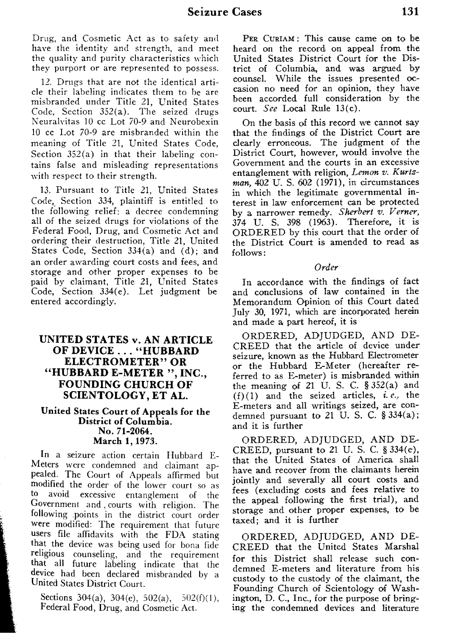Drug, and Cosmetic Act as to safety and have the identity and strength, and meet the quality and purity characteristics which they purport or are represented to possess.

12. Drugs that are not the identical article their labeling indicates them to be are misbranded under Title 21, United States Code, Section 352(a). The seized drugs Neuralvitas 10 cc Lot 70-9 and Neurobexin 10 cc Lot 70-9 are misbranded within the meaning of Title 21, United States Code, Section  $352(a)$  in that their labeling contains false and misleading representations with respect to their strength.

13. Pursuant to Title 21, United States Code, Section 334, plaintiff is entitled to the following relief: a decree condemning all of the seized drugs for violations of the Federal Food, Drug, and Cosmetic Act and ordering their destruction, Title 21, United States Code, Section 334(a) and (d); and an order awarding court costs and fees, and storage and other proper expenses to be paid by claimant, Title 21, United States Code, Section 334(e). Let judgment be entered accordingly.

# **UNITED STATES v. AN ARTICLE OF DEVICE . . . "HUBBARD ELECTROMETER" OR "HUBBARD E-METER ", INC., FOUNDING CHURCH OF SCIENTOLOGY, ET AL.**

## United States Court of Appeals for the District of Columbia. No. 71-2064. March 1, 1973.

In a seizure action certain Hubbard E-Meters were condemned and claimant appealed. The Court of Appeals affirmed but modified the order of the lower court so as<br>to avoid excessive entanglement of the avoid excessive entanglement of the Government and , courts with religion. The following .points in the district court order were modified: The requirement that future users file affidavits with the FDA stating that the device was being used for bona fide religious counseling, and the requirement that all future labeling indicate that the device had been declared misbranded by a United States District Court.

Sections 304(a), 304(e), 502(a), 502(f)(1), Federal Food, Drug, and Cosmetic Act.

PER CURIAM: This cause came on to be heard on the record on appeal from the United States District Court for the District of Columbia, and was argued by counsel. While the issues presented occasion no need for an opinion, they have been accorded full consideration by the court. *See* Local Rule 13(c).

On the basis of this record we cannot say that the findings of the District Court are clearly erroneous. The judgment of the District Court, however, would involve the Government and the courts in an excessive entanglement with religion, *Lemon v. Kurtzman,* 402 U. S. 602 (1971), in circumstances in which the legitimate governmental interest in law enforcement can be protected by a narrower remedy. *Sherbert v. Verner,* 374 U. S. 398 (1963). Therefore, it is ORDERED by this court that the order of the District Court is amended to read. as follows:

*Order*

In accordance with the findings of fact and conclusions of law contained in the Memorandum Opinion of this Court dated July 30, 1971, which are incorporated herein and made a part hereof, it is

ORDERED, ADJUDGED, AND DE CREED that the article of device under seizure, known as the Hubbard Electrometer or the Hubbard E-Meter (hereafter referred to as E-meter) is misbranded within the meaning of 21 U. S. C. § 352(a) and (f)(1) and the seized articles, *i. e.,* the E-meters and all writings seized, are condemned pursuant to 21 U.S. C.  $\S 334(a)$ ; and it is further

ORDERED, ADJUDGED, AND DE-CREED, pursuant to 21 U. S. C. § 334(e), that the United States of America shall have and recover from the claimants herein jointly and severally all court costs and fees (excluding costs and fees relative to the appeal following the first trial), and storage and other proper expenses, to be taxed; and it is further

ORDERED, ADJUDGED, AND DE-CREED that the United States Marshal for this District shall release such condemned E-meters and literature from his custody to the custody of the claimant, the Founding Church of Scientology of Washington, D. C., Inc., for the purpose of bringing the condemned devices and literature